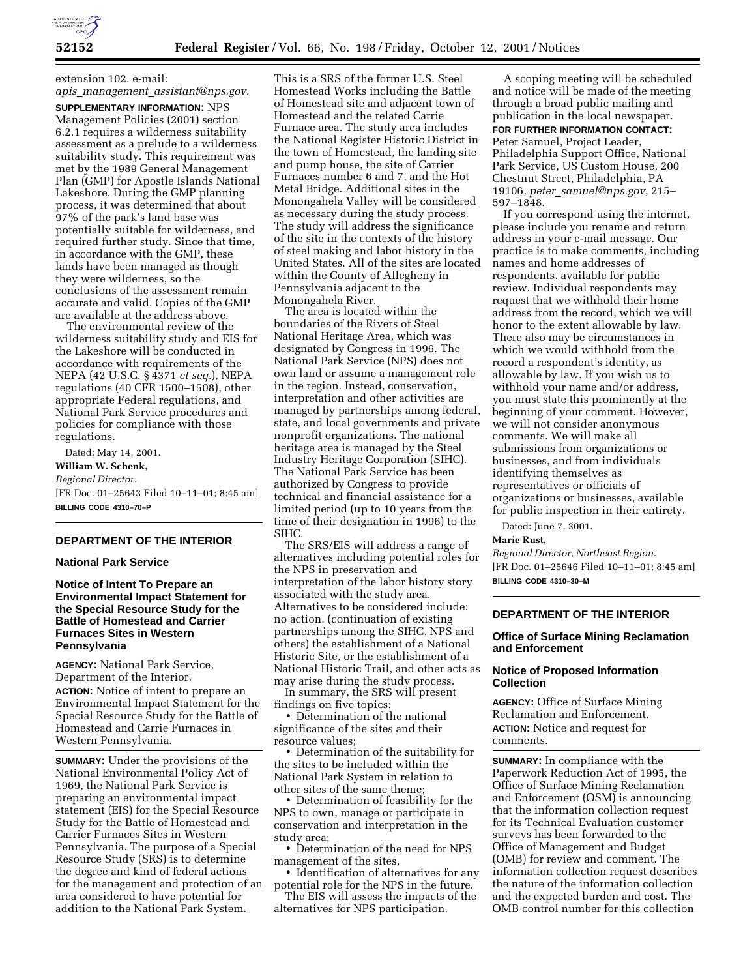

# extension 102. e-mail:

*apis*\_*management*\_*assistant@nps.gov.*

**SUPPLEMENTARY INFORMATION:** NPS Management Policies (2001) section 6.2.1 requires a wilderness suitability assessment as a prelude to a wilderness suitability study. This requirement was met by the 1989 General Management Plan (GMP) for Apostle Islands National Lakeshore. During the GMP planning process, it was determined that about 97% of the park's land base was potentially suitable for wilderness, and required further study. Since that time, in accordance with the GMP, these lands have been managed as though they were wilderness, so the conclusions of the assessment remain accurate and valid. Copies of the GMP are available at the address above.

The environmental review of the wilderness suitability study and EIS for the Lakeshore will be conducted in accordance with requirements of the NEPA (42 U.S.C. § 4371 *et seq.*), NEPA regulations (40 CFR 1500–1508), other appropriate Federal regulations, and National Park Service procedures and policies for compliance with those regulations.

Dated: May 14, 2001. **William W. Schenk,** *Regional Director.* [FR Doc. 01–25643 Filed 10–11–01; 8:45 am] **BILLING CODE 4310–70–P**

#### **DEPARTMENT OF THE INTERIOR**

#### **National Park Service**

**Notice of Intent To Prepare an Environmental Impact Statement for the Special Resource Study for the Battle of Homestead and Carrier Furnaces Sites in Western Pennsylvania**

**AGENCY:** National Park Service, Department of the Interior. **ACTION:** Notice of intent to prepare an Environmental Impact Statement for the Special Resource Study for the Battle of Homestead and Carrie Furnaces in Western Pennsylvania.

**SUMMARY:** Under the provisions of the National Environmental Policy Act of 1969, the National Park Service is preparing an environmental impact statement (EIS) for the Special Resource Study for the Battle of Homestead and Carrier Furnaces Sites in Western Pennsylvania. The purpose of a Special Resource Study (SRS) is to determine the degree and kind of federal actions for the management and protection of an area considered to have potential for addition to the National Park System.

This is a SRS of the former U.S. Steel Homestead Works including the Battle of Homestead site and adjacent town of Homestead and the related Carrie Furnace area. The study area includes the National Register Historic District in the town of Homestead, the landing site and pump house, the site of Carrier Furnaces number 6 and 7, and the Hot Metal Bridge. Additional sites in the Monongahela Valley will be considered as necessary during the study process. The study will address the significance of the site in the contexts of the history of steel making and labor history in the United States. All of the sites are located within the County of Allegheny in Pennsylvania adjacent to the Monongahela River.

The area is located within the boundaries of the Rivers of Steel National Heritage Area, which was designated by Congress in 1996. The National Park Service (NPS) does not own land or assume a management role in the region. Instead, conservation, interpretation and other activities are managed by partnerships among federal, state, and local governments and private nonprofit organizations. The national heritage area is managed by the Steel Industry Heritage Corporation (SIHC). The National Park Service has been authorized by Congress to provide technical and financial assistance for a limited period (up to 10 years from the time of their designation in 1996) to the SIHC.

The SRS/EIS will address a range of alternatives including potential roles for the NPS in preservation and interpretation of the labor history story associated with the study area. Alternatives to be considered include: no action. (continuation of existing partnerships among the SIHC, NPS and others) the establishment of a National Historic Site, or the establishment of a National Historic Trail, and other acts as may arise during the study process.

In summary, the SRS will present findings on five topics:

• Determination of the national significance of the sites and their resource values;

• Determination of the suitability for the sites to be included within the National Park System in relation to other sites of the same theme;

• Determination of feasibility for the NPS to own, manage or participate in conservation and interpretation in the study area;

• Determination of the need for NPS management of the sites,

• Identification of alternatives for any potential role for the NPS in the future.

The EIS will assess the impacts of the alternatives for NPS participation.

A scoping meeting will be scheduled and notice will be made of the meeting through a broad public mailing and publication in the local newspaper. **FOR FURTHER INFORMATION CONTACT:** Peter Samuel, Project Leader, Philadelphia Support Office, National Park Service, US Custom House, 200 Chestnut Street, Philadelphia, PA 19106, *peter*\_*samuel@nps.gov*, 215– 597–1848.

If you correspond using the internet, please include you rename and return address in your e-mail message. Our practice is to make comments, including names and home addresses of respondents, available for public review. Individual respondents may request that we withhold their home address from the record, which we will honor to the extent allowable by law. There also may be circumstances in which we would withhold from the record a respondent's identity, as allowable by law. If you wish us to withhold your name and/or address, you must state this prominently at the beginning of your comment. However, we will not consider anonymous comments. We will make all submissions from organizations or businesses, and from individuals identifying themselves as representatives or officials of organizations or businesses, available for public inspection in their entirety.

Dated: June 7, 2001.

#### **Marie Rust,**

*Regional Director, Northeast Region.* [FR Doc. 01–25646 Filed 10–11–01; 8:45 am] **BILLING CODE 4310–30–M**

### **DEPARTMENT OF THE INTERIOR**

## **Office of Surface Mining Reclamation and Enforcement**

# **Notice of Proposed Information Collection**

**AGENCY:** Office of Surface Mining Reclamation and Enforcement. **ACTION:** Notice and request for comments.

**SUMMARY:** In compliance with the Paperwork Reduction Act of 1995, the Office of Surface Mining Reclamation and Enforcement (OSM) is announcing that the information collection request for its Technical Evaluation customer surveys has been forwarded to the Office of Management and Budget (OMB) for review and comment. The information collection request describes the nature of the information collection and the expected burden and cost. The OMB control number for this collection